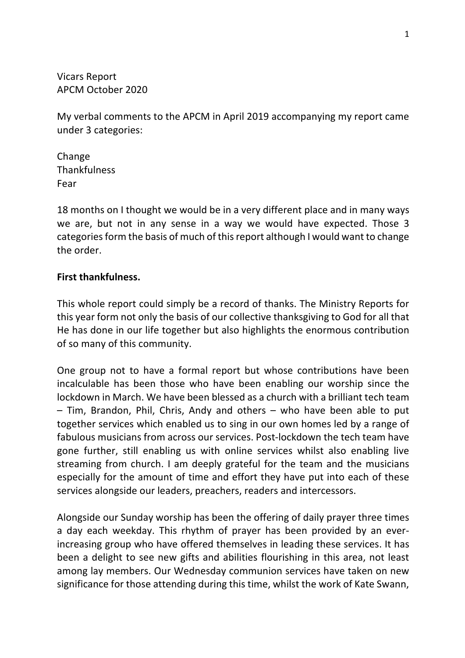Vicars Report APCM October 2020

My verbal comments to the APCM in April 2019 accompanying my report came under 3 categories:

Change **Thankfulness** Fear

18 months on I thought we would be in a very different place and in many ways we are, but not in any sense in a way we would have expected. Those 3 categories form the basis of much of this report although I would want to change the order.

#### **First thankfulness.**

This whole report could simply be a record of thanks. The Ministry Reports for this year form not only the basis of our collective thanksgiving to God for all that He has done in our life together but also highlights the enormous contribution of so many of this community.

One group not to have a formal report but whose contributions have been incalculable has been those who have been enabling our worship since the lockdown in March. We have been blessed as a church with a brilliant tech team – Tim, Brandon, Phil, Chris, Andy and others – who have been able to put together services which enabled us to sing in our own homes led by a range of fabulous musicians from across our services. Post-lockdown the tech team have gone further, still enabling us with online services whilst also enabling live streaming from church. I am deeply grateful for the team and the musicians especially for the amount of time and effort they have put into each of these services alongside our leaders, preachers, readers and intercessors.

Alongside our Sunday worship has been the offering of daily prayer three times a day each weekday. This rhythm of prayer has been provided by an everincreasing group who have offered themselves in leading these services. It has been a delight to see new gifts and abilities flourishing in this area, not least among lay members. Our Wednesday communion services have taken on new significance for those attending during this time, whilst the work of Kate Swann,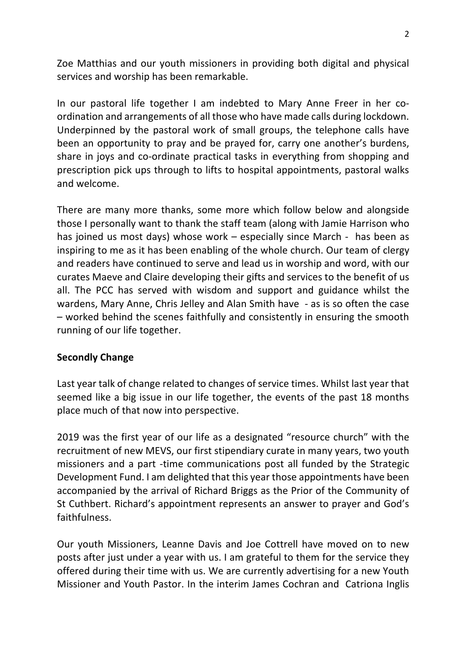Zoe Matthias and our youth missioners in providing both digital and physical services and worship has been remarkable.

In our pastoral life together I am indebted to Mary Anne Freer in her coordination and arrangements of all those who have made calls during lockdown. Underpinned by the pastoral work of small groups, the telephone calls have been an opportunity to pray and be prayed for, carry one another's burdens, share in joys and co-ordinate practical tasks in everything from shopping and prescription pick ups through to lifts to hospital appointments, pastoral walks and welcome.

There are many more thanks, some more which follow below and alongside those I personally want to thank the staff team (along with Jamie Harrison who has joined us most days) whose work – especially since March - has been as inspiring to me as it has been enabling of the whole church. Our team of clergy and readers have continued to serve and lead us in worship and word, with our curates Maeve and Claire developing their gifts and services to the benefit of us all. The PCC has served with wisdom and support and guidance whilst the wardens, Mary Anne, Chris Jelley and Alan Smith have - as is so often the case – worked behind the scenes faithfully and consistently in ensuring the smooth running of our life together.

#### **Secondly Change**

Last year talk of change related to changes of service times. Whilst last year that seemed like a big issue in our life together, the events of the past 18 months place much of that now into perspective.

2019 was the first year of our life as a designated "resource church" with the recruitment of new MEVS, our first stipendiary curate in many years, two youth missioners and a part -time communications post all funded by the Strategic Development Fund. I am delighted that this year those appointments have been accompanied by the arrival of Richard Briggs as the Prior of the Community of St Cuthbert. Richard's appointment represents an answer to prayer and God's faithfulness.

Our youth Missioners, Leanne Davis and Joe Cottrell have moved on to new posts after just under a year with us. I am grateful to them for the service they offered during their time with us. We are currently advertising for a new Youth Missioner and Youth Pastor. In the interim James Cochran and Catriona Inglis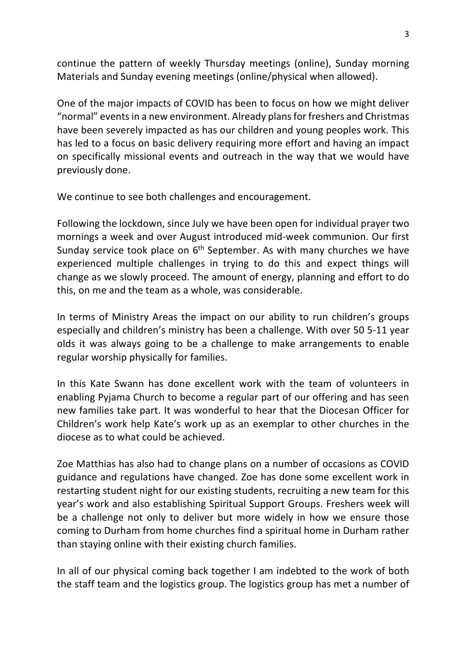continue the pattern of weekly Thursday meetings (online), Sunday morning Materials and Sunday evening meetings (online/physical when allowed).

One of the major impacts of COVID has been to focus on how we might deliver "normal" events in a new environment. Already plans for freshers and Christmas have been severely impacted as has our children and young peoples work. This has led to a focus on basic delivery requiring more effort and having an impact on specifically missional events and outreach in the way that we would have previously done.

We continue to see both challenges and encouragement.

Following the lockdown, since July we have been open for individual prayer two mornings a week and over August introduced mid-week communion. Our first Sunday service took place on  $6<sup>th</sup>$  September. As with many churches we have experienced multiple challenges in trying to do this and expect things will change as we slowly proceed. The amount of energy, planning and effort to do this, on me and the team as a whole, was considerable.

In terms of Ministry Areas the impact on our ability to run children's groups especially and children's ministry has been a challenge. With over 50 5-11 year olds it was always going to be a challenge to make arrangements to enable regular worship physically for families.

In this Kate Swann has done excellent work with the team of volunteers in enabling Pyjama Church to become a regular part of our offering and has seen new families take part. It was wonderful to hear that the Diocesan Officer for Children's work help Kate's work up as an exemplar to other churches in the diocese as to what could be achieved.

Zoe Matthias has also had to change plans on a number of occasions as COVID guidance and regulations have changed. Zoe has done some excellent work in restarting student night for our existing students, recruiting a new team for this year's work and also establishing Spiritual Support Groups. Freshers week will be a challenge not only to deliver but more widely in how we ensure those coming to Durham from home churches find a spiritual home in Durham rather than staying online with their existing church families.

In all of our physical coming back together I am indebted to the work of both the staff team and the logistics group. The logistics group has met a number of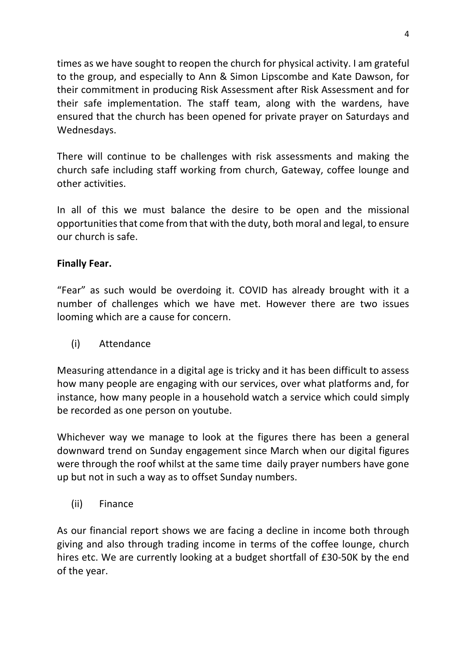times as we have sought to reopen the church for physical activity. I am grateful to the group, and especially to Ann & Simon Lipscombe and Kate Dawson, for their commitment in producing Risk Assessment after Risk Assessment and for their safe implementation. The staff team, along with the wardens, have ensured that the church has been opened for private prayer on Saturdays and Wednesdays.

There will continue to be challenges with risk assessments and making the church safe including staff working from church, Gateway, coffee lounge and other activities.

In all of this we must balance the desire to be open and the missional opportunities that come from that with the duty, both moral and legal, to ensure our church is safe.

### **Finally Fear.**

"Fear" as such would be overdoing it. COVID has already brought with it a number of challenges which we have met. However there are two issues looming which are a cause for concern.

(i) Attendance

Measuring attendance in a digital age is tricky and it has been difficult to assess how many people are engaging with our services, over what platforms and, for instance, how many people in a household watch a service which could simply be recorded as one person on youtube.

Whichever way we manage to look at the figures there has been a general downward trend on Sunday engagement since March when our digital figures were through the roof whilst at the same time daily prayer numbers have gone up but not in such a way as to offset Sunday numbers.

(ii) Finance

As our financial report shows we are facing a decline in income both through giving and also through trading income in terms of the coffee lounge, church hires etc. We are currently looking at a budget shortfall of £30-50K by the end of the year.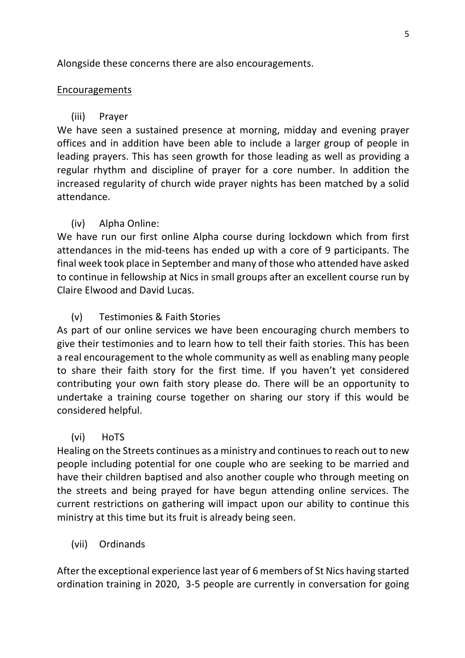Alongside these concerns there are also encouragements.

#### Encouragements

## (iii) Prayer

We have seen a sustained presence at morning, midday and evening prayer offices and in addition have been able to include a larger group of people in leading prayers. This has seen growth for those leading as well as providing a regular rhythm and discipline of prayer for a core number. In addition the increased regularity of church wide prayer nights has been matched by a solid attendance.

# (iv) Alpha Online:

We have run our first online Alpha course during lockdown which from first attendances in the mid-teens has ended up with a core of 9 participants. The final week took place in September and many of those who attended have asked to continue in fellowship at Nics in small groups after an excellent course run by Claire Elwood and David Lucas.

# (v) Testimonies & Faith Stories

As part of our online services we have been encouraging church members to give their testimonies and to learn how to tell their faith stories. This has been a real encouragement to the whole community as well as enabling many people to share their faith story for the first time. If you haven't yet considered contributing your own faith story please do. There will be an opportunity to undertake a training course together on sharing our story if this would be considered helpful.

### (vi) HoTS

Healing on the Streets continues as a ministry and continues to reach out to new people including potential for one couple who are seeking to be married and have their children baptised and also another couple who through meeting on the streets and being prayed for have begun attending online services. The current restrictions on gathering will impact upon our ability to continue this ministry at this time but its fruit is already being seen.

# (vii) Ordinands

After the exceptional experience last year of 6 members of St Nics having started ordination training in 2020, 3-5 people are currently in conversation for going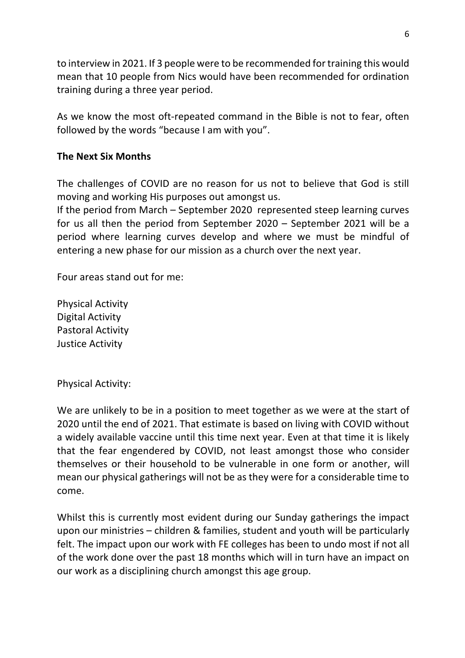to interview in 2021. If 3 people were to be recommended for training this would mean that 10 people from Nics would have been recommended for ordination training during a three year period.

As we know the most oft-repeated command in the Bible is not to fear, often followed by the words "because I am with you".

### **The Next Six Months**

The challenges of COVID are no reason for us not to believe that God is still moving and working His purposes out amongst us.

If the period from March – September 2020 represented steep learning curves for us all then the period from September 2020 – September 2021 will be a period where learning curves develop and where we must be mindful of entering a new phase for our mission as a church over the next year.

Four areas stand out for me:

Physical Activity Digital Activity Pastoral Activity Justice Activity

Physical Activity:

We are unlikely to be in a position to meet together as we were at the start of 2020 until the end of 2021. That estimate is based on living with COVID without a widely available vaccine until this time next year. Even at that time it is likely that the fear engendered by COVID, not least amongst those who consider themselves or their household to be vulnerable in one form or another, will mean our physical gatherings will not be as they were for a considerable time to come.

Whilst this is currently most evident during our Sunday gatherings the impact upon our ministries – children & families, student and youth will be particularly felt. The impact upon our work with FE colleges has been to undo most if not all of the work done over the past 18 months which will in turn have an impact on our work as a disciplining church amongst this age group.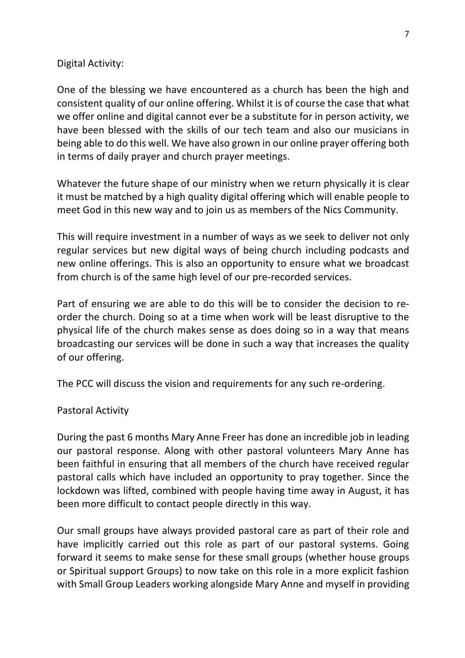#### Digital Activity:

One of the blessing we have encountered as a church has been the high and consistent quality of our online offering. Whilst it is of course the case that what we offer online and digital cannot ever be a substitute for in person activity, we have been blessed with the skills of our tech team and also our musicians in being able to do this well. We have also grown in our online prayer offering both in terms of daily prayer and church prayer meetings.

Whatever the future shape of our ministry when we return physically it is clear it must be matched by a high quality digital offering which will enable people to meet God in this new way and to join us as members of the Nics Community.

This will require investment in a number of ways as we seek to deliver not only regular services but new digital ways of being church including podcasts and new online offerings. This is also an opportunity to ensure what we broadcast from church is of the same high level of our pre-recorded services.

Part of ensuring we are able to do this will be to consider the decision to reorder the church. Doing so at a time when work will be least disruptive to the physical life of the church makes sense as does doing so in a way that means broadcasting our services will be done in such a way that increases the quality of our offering.

The PCC will discuss the vision and requirements for any such re-ordering.

#### Pastoral Activity

During the past 6 months Mary Anne Freer has done an incredible job in leading our pastoral response. Along with other pastoral volunteers Mary Anne has been faithful in ensuring that all members of the church have received regular pastoral calls which have included an opportunity to pray together. Since the lockdown was lifted, combined with people having time away in August, it has been more difficult to contact people directly in this way.

Our small groups have always provided pastoral care as part of their role and have implicitly carried out this role as part of our pastoral systems. Going forward it seems to make sense for these small groups (whether house groups or Spiritual support Groups) to now take on this role in a more explicit fashion with Small Group Leaders working alongside Mary Anne and myself in providing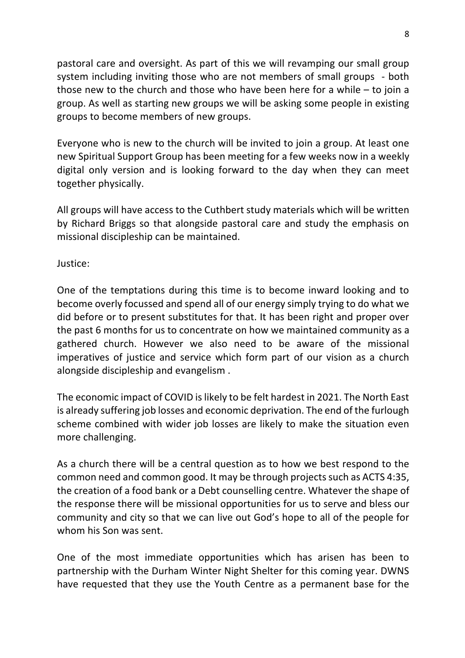pastoral care and oversight. As part of this we will revamping our small group system including inviting those who are not members of small groups - both those new to the church and those who have been here for a while – to join a group. As well as starting new groups we will be asking some people in existing groups to become members of new groups.

Everyone who is new to the church will be invited to join a group. At least one new Spiritual Support Group has been meeting for a few weeks now in a weekly digital only version and is looking forward to the day when they can meet together physically.

All groups will have access to the Cuthbert study materials which will be written by Richard Briggs so that alongside pastoral care and study the emphasis on missional discipleship can be maintained.

Justice:

One of the temptations during this time is to become inward looking and to become overly focussed and spend all of our energy simply trying to do what we did before or to present substitutes for that. It has been right and proper over the past 6 months for us to concentrate on how we maintained community as a gathered church. However we also need to be aware of the missional imperatives of justice and service which form part of our vision as a church alongside discipleship and evangelism .

The economic impact of COVID is likely to be felt hardest in 2021. The North East is already suffering job losses and economic deprivation. The end of the furlough scheme combined with wider job losses are likely to make the situation even more challenging.

As a church there will be a central question as to how we best respond to the common need and common good. It may be through projects such as ACTS 4:35, the creation of a food bank or a Debt counselling centre. Whatever the shape of the response there will be missional opportunities for us to serve and bless our community and city so that we can live out God's hope to all of the people for whom his Son was sent.

One of the most immediate opportunities which has arisen has been to partnership with the Durham Winter Night Shelter for this coming year. DWNS have requested that they use the Youth Centre as a permanent base for the